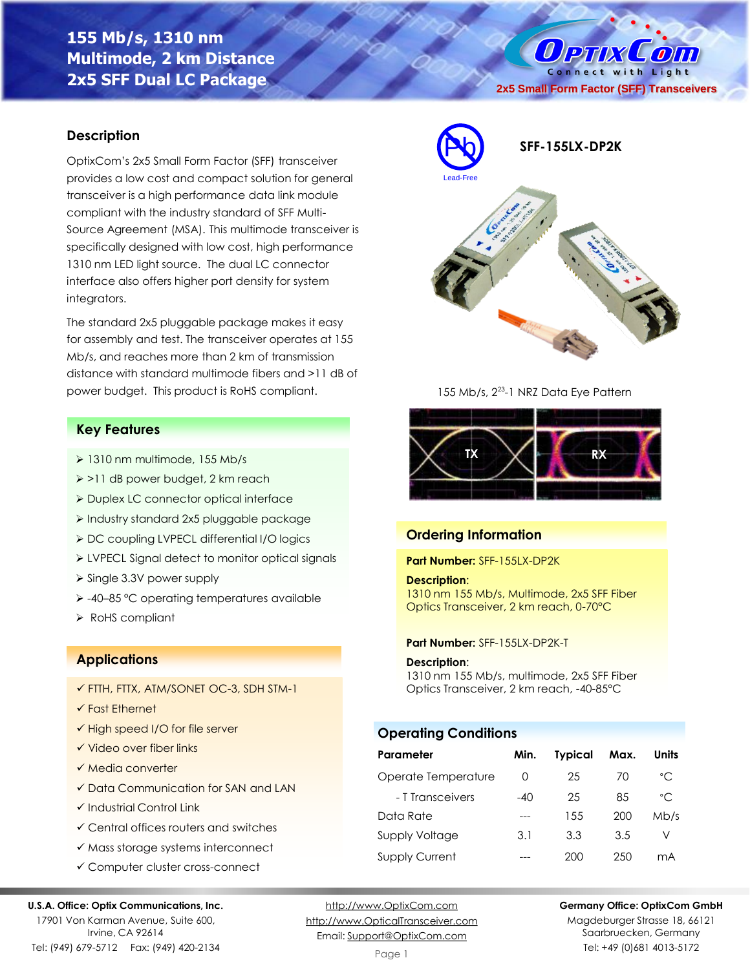# **155 Mb/s, 1310 nm Multimode, 2 km Distance 2x5 SFF Dual LC Package**

O PTIX COM Connect with Light **2x5 Small Form Factor (SFF) Transceivers**

### **Description**

OptixCom's 2x5 Small Form Factor (SFF) transceiver provides a low cost and compact solution for general transceiver is a high performance data link module compliant with the industry standard of SFF Multi-Source Agreement (MSA). This multimode transceiver is specifically designed with low cost, high performance 1310 nm LED light source. The dual LC connector interface also offers higher port density for system integrators.

The standard 2x5 pluggable package makes it easy for assembly and test. The transceiver operates at 155 Mb/s, and reaches more than 2 km of transmission distance with standard multimode fibers and >11 dB of power budget. This product is RoHS compliant.

### **Key Features**

- ➢ 1310 nm multimode, 155 Mb/s
- ➢ >11 dB power budget, 2 km reach
- ➢ Duplex LC connector optical interface
- ➢ Industry standard 2x5 pluggable package
- ➢ DC coupling LVPECL differential I/O logics
- ➢ LVPECL Signal detect to monitor optical signals
- ➢ Single 3.3V power supply
- ➢ -40–85 °C operating temperatures available
- ➢ RoHS compliant

### **Applications**

- ✓ FTTH, FTTX, ATM/SONET OC-3, SDH STM-1
- ✓ Fast Ethernet
- ✓ High speed I/O for file server
- ✓ Video over fiber links
- ✓ Media converter
- ✓ Data Communication for SAN and LAN
- ✓ Industrial Control Link
- ✓ Central offices routers and switches
- ✓ Mass storage systems interconnect
- ✓ Computer cluster cross-connect

#### **U.S.A. Office: Optix Communications, Inc.**

17901 Von Karman Avenue, Suite 600, Irvine, CA 92614 Tel: (949) 679-5712 Fax: (949) 420-2134

[http://www.OptixCom.com](http://www.optixcom.com/) [http://www.OpticalTransceiver.com](http://www.optoictech.com/) Email: [Support@OptixCom.com](mailto:Support@optoICtech.com)



155 Mb/s,  $2^{23}$ -1 NRZ Data Eye Pattern



### **Ordering Information**

**Part Number:** SFF-155LX-DP2K

#### **Description**:

1310 nm 155 Mb/s, Multimode, 2x5 SFF Fiber Optics Transceiver, 2 km reach, 0-70°C

#### **Part Number:** SFF-155LX-DP2K-T

#### **Description**:

1310 nm 155 Mb/s, multimode, 2x5 SFF Fiber Optics Transceiver, 2 km reach, -40-85°C

# **Operating Conditions**

| Parameter             | Min.  | <b>Typical</b> | Max. | Units        |
|-----------------------|-------|----------------|------|--------------|
| Operate Temperature   | O     | 25             | 70   | $^{\circ}$ C |
| - T Transceivers      | $-40$ | 25             | 85   | $^{\circ}$ C |
| Data Rate             |       | 155            | 200  | Mb/s         |
| <b>Supply Voltage</b> | 3.1   | 3.3            | 3.5  | V            |
| <b>Supply Current</b> |       | 200            | 250  | mA           |

**Germany Office: OptixCom GmbH**

Magdeburger Strasse 18, 66121 Saarbruecken, Germany Tel: +49 (0)681 4013-5172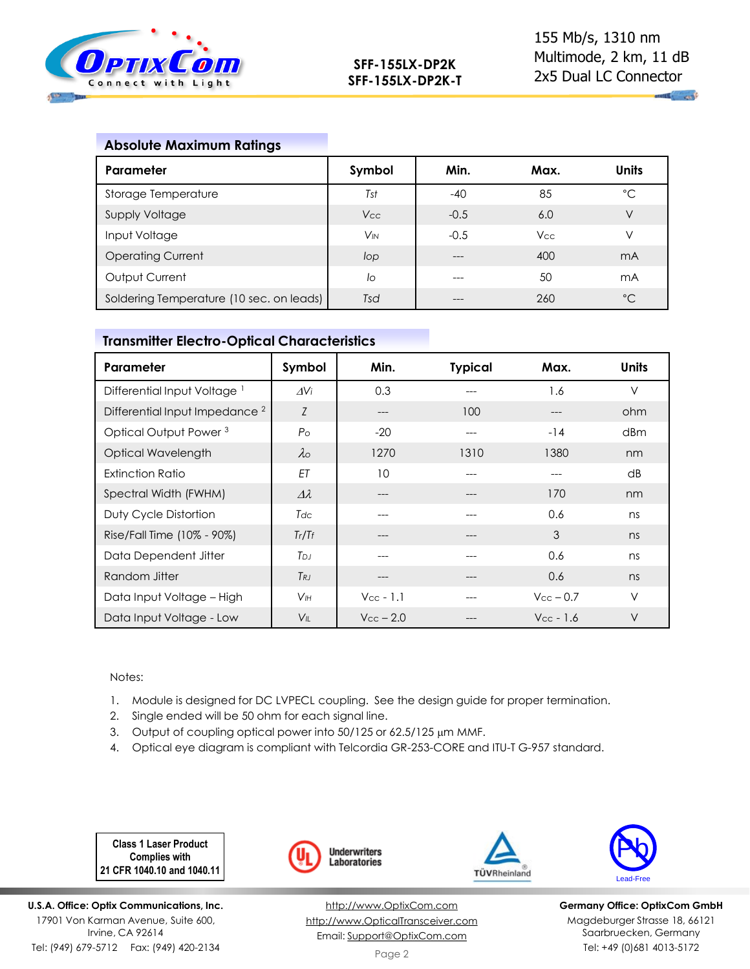

# **Absolute Maximum Ratings**

| Parameter                                | Symbol                | Min.   | Max.       | <b>Units</b>   |
|------------------------------------------|-----------------------|--------|------------|----------------|
| Storage Temperature                      | Tst                   | $-40$  | 85         | °C             |
| <b>Supply Voltage</b>                    | V <sub>cc</sub>       | $-0.5$ | 6.0        | V              |
| Input Voltage                            | <b>V<sub>IN</sub></b> | $-0.5$ | <b>Vcc</b> | V              |
| <b>Operating Current</b>                 | lop                   |        | 400        | m <sub>A</sub> |
| Output Current                           | lo                    | ---    | 50         | mA             |
| Soldering Temperature (10 sec. on leads) | Tsd                   |        | 260        | $^{\circ}C$    |

### **Transmitter Electro-Optical Characteristics**

| Parameter                                 | Symbol             | Min.                  | <b>Typical</b> | Max.               | <b>Units</b> |
|-------------------------------------------|--------------------|-----------------------|----------------|--------------------|--------------|
| Differential Input Voltage <sup>1</sup>   | AVi                | 0.3                   |                | 1.6                | $\vee$       |
| Differential Input Impedance <sup>2</sup> | Z                  | ---                   | 100            | ---                | ohm          |
| Optical Output Power <sup>3</sup>         | $P_{\rm O}$        | $-20$                 | $---$          | $-14$              | dBm          |
| Optical Wavelength                        | $\lambda$          | 1270                  | 1310           | 1380               | nm           |
| <b>Extinction Ratio</b>                   | ET                 | 10                    |                | ---                | dB           |
| Spectral Width (FWHM)                     | $\varDelta\lambda$ | ---                   |                | 170                | nm           |
| Duty Cycle Distortion                     | Tdc                | ---                   |                | 0.6                | ns           |
| Rise/Fall Time (10% - 90%)                | Tr/Tr              | ---                   | ---            | 3                  | ns           |
| Data Dependent Jitter                     | T <sub>DJ</sub>    | ---                   | ---            | 0.6                | ns           |
| Random Jitter                             | $T_{RJ}$           | ---                   |                | 0.6                | ns           |
| Data Input Voltage - High                 | V <sub>IH</sub>    | $V_{\text{cc}}$ - 1.1 |                | $V_{\rm CC}$ – 0.7 | $\vee$       |
| Data Input Voltage - Low                  | $V_{\parallel}$    | $V_{CC}$ – 2.0        |                | $V_{CC}$ - 1.6     | $\vee$       |

#### Notes:

- 1. Module is designed for DC LVPECL coupling. See the design guide for proper termination.
- 2. Single ended will be 50 ohm for each signal line.
- 3. Output of coupling optical power into 50/125 or 62.5/125 µm MMF.
- 4. Optical eye diagram is compliant with Telcordia GR-253-CORE and ITU-T G-957 standard.

**Class 1 Laser Product Complies with 21 CFR 1040.10 and 1040.11**

**U.S.A. Office: Optix Communications, Inc.** 17901 Von Karman Avenue, Suite 600, Irvine, CA 92614 Tel: (949) 679-5712 Fax: (949) 420-2134



[http://www.OptixCom.com](http://www.optixcom.com/) [http://www.OpticalTransceiver.com](http://www.optoictech.com/) Email: [Support@OptixCom.com](mailto:Support@optoICtech.com)



TÜVRheinland

**Germany Office: OptixCom GmbH** Magdeburger Strasse 18, 66121 Saarbruecken, Germany Tel: +49 (0)681 4013-5172